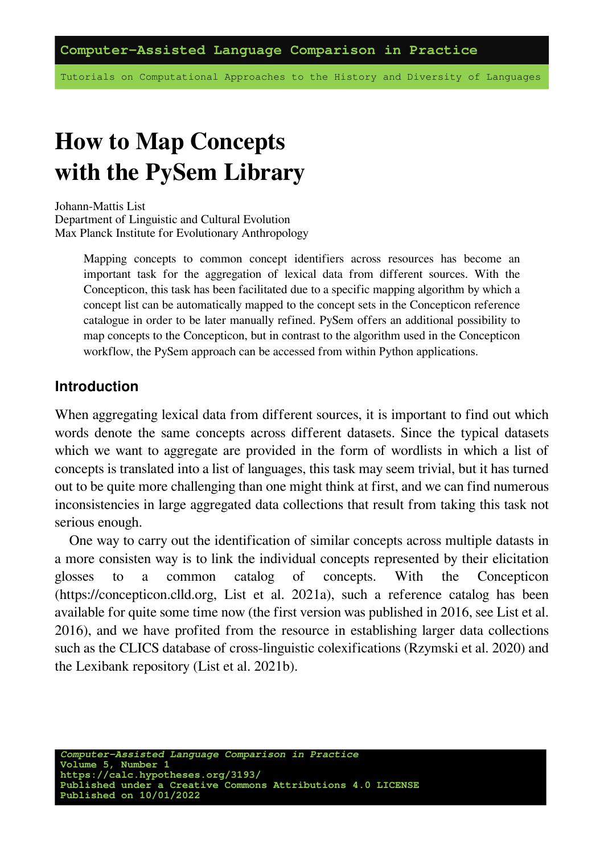Tutorials on Computational Approaches to the History and Diversity of Languages

# **How to Map Concepts with the PySem Library**

Johann-Mattis List Department of Linguistic and Cultural Evolution Max Planck Institute for Evolutionary Anthropology

> Mapping concepts to common concept identifiers across resources has become an important task for the aggregation of lexical data from different sources. With the Concepticon, this task has been facilitated due to a specific mapping algorithm by which a concept list can be automatically mapped to the concept sets in the Concepticon reference catalogue in order to be later manually refined. PySem offers an additional possibility to map concepts to the Concepticon, but in contrast to the algorithm used in the Concepticon workflow, the PySem approach can be accessed from within Python applications.

#### **Introduction**

When aggregating lexical data from different sources, it is important to find out which words denote the same concepts across different datasets. Since the typical datasets which we want to aggregate are provided in the form of wordlists in which a list of concepts is translated into a list of languages, this task may seem trivial, but it has turned out to be quite more challenging than one might think at first, and we can find numerous inconsistencies in large aggregated data collections that result from taking this task not serious enough.

One way to carry out the identification of similar concepts across multiple datasts in a more consisten way is to link the individual concepts represented by their elicitation glosses to a common catalog of concepts. With the Concepticon (https://concepticon.clld.org, [List et al. 2021a\)](https://digling.org/evobib/?bibtex=Concepticon), such a reference catalog has been available for quite some time now (the first version was published in 2016, see [List et al.](https://digling.org/evobib/?bibtex=List2016a) [2016](https://digling.org/evobib/?bibtex=List2016a)), and we have profited from the resource in establishing larger data collections such as the CLICS database of cross-linguistic colexifications [\(Rzymski et al. 2020](https://digling.org/evobib/?bibtex=Rzymski2020)) and the Lexibank repository [\(List et al. 2021b\)](https://digling.org/evobib/?bibtex=List2021PREPRINTa).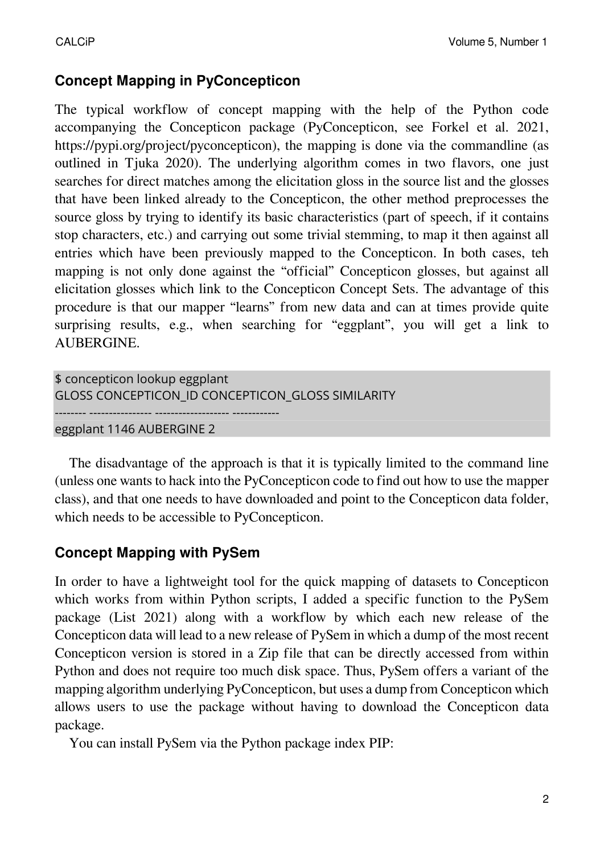# **Concept Mapping in PyConcepticon**

The typical workflow of concept mapping with the help of the Python code accompanying the Concepticon package (PyConcepticon, see [Forkel et al. 2021,](https://digling.org/evobib/?bibtex=PyConcepticon) https://pypi.org/project/pyconcepticon), the mapping is done via the commandline (as outlined in [Tjuka 2020](https://digling.org/evobib/?bibtex=Tjuka2020TBLOG1)). The underlying algorithm comes in two flavors, one just searches for direct matches among the elicitation gloss in the source list and the glosses that have been linked already to the Concepticon, the other method preprocesses the source gloss by trying to identify its basic characteristics (part of speech, if it contains stop characters, etc.) and carrying out some trivial stemming, to map it then against all entries which have been previously mapped to the Concepticon. In both cases, teh mapping is not only done against the "official" Concepticon glosses, but against all elicitation glosses which link to the Concepticon Concept Sets. The advantage of this procedure is that our mapper "learns" from new data and can at times provide quite surprising results, e.g., when searching for "eggplant", you will get a link to AUBERGINE.

```
$ concepticon lookup eggplant
GLOSS CONCEPTICON_ID CONCEPTICON_GLOSS SIMILARITY
-------- ---------------- ------------------- ------------
eggplant 1146 AUBERGINE 2
```
The disadvantage of the approach is that it is typically limited to the command line (unless one wants to hack into the PyConcepticon code to find out how to use the mapper class), and that one needs to have downloaded and point to the Concepticon data folder, which needs to be accessible to PyConcepticon.

## **Concept Mapping with PySem**

In order to have a lightweight tool for the quick mapping of datasets to Concepticon which works from within Python scripts, I added a specific function to the PySem package [\(List 2021\)](https://digling.org/evobib/?bibtex=PySem) along with a workflow by which each new release of the Concepticon data will lead to a new release of PySem in which a dump of the most recent Concepticon version is stored in a Zip file that can be directly accessed from within Python and does not require too much disk space. Thus, PySem offers a variant of the mapping algorithm underlying PyConcepticon, but uses a dump from Concepticon which allows users to use the package without having to download the Concepticon data package.

You can install PySem via the Python package index PIP: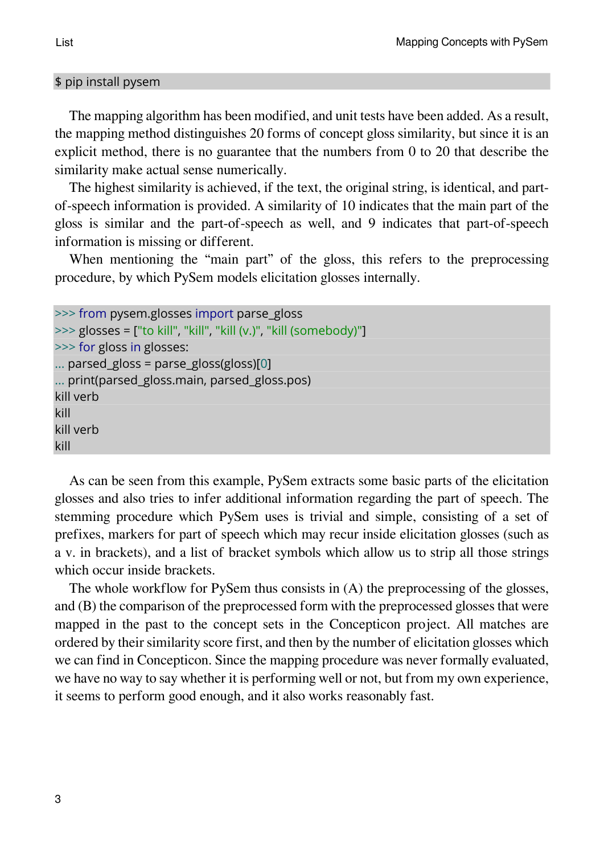#### \$ pip install pysem

The mapping algorithm has been modified, and unit tests have been added. As a result, the mapping method distinguishes 20 forms of concept gloss similarity, but since it is an explicit method, there is no guarantee that the numbers from 0 to 20 that describe the similarity make actual sense numerically.

The highest similarity is achieved, if the text, the original string, is identical, and partof-speech information is provided. A similarity of 10 indicates that the main part of the gloss is similar and the part-of-speech as well, and 9 indicates that part-of-speech information is missing or different.

When mentioning the "main part" of the gloss, this refers to the preprocessing procedure, by which PySem models elicitation glosses internally.

```
>>> from pysem.glosses import parse_gloss
>>> glosses = ["to kill", "kill", "kill (v.)", "kill (somebody)"]
>>> for gloss in glosses:
... parsed_gloss = parse_gloss(gloss)[0]
... print(parsed_gloss.main, parsed_gloss.pos)
kill verb
kill
kill verb
kill
```
As can be seen from this example, PySem extracts some basic parts of the elicitation glosses and also tries to infer additional information regarding the part of speech. The stemming procedure which PySem uses is trivial and simple, consisting of a set of prefixes, markers for part of speech which may recur inside elicitation glosses (such as a v. in brackets), and a list of bracket symbols which allow us to strip all those strings which occur inside brackets.

The whole workflow for PySem thus consists in (A) the preprocessing of the glosses, and (B) the comparison of the preprocessed form with the preprocessed glosses that were mapped in the past to the concept sets in the Concepticon project. All matches are ordered by their similarity score first, and then by the number of elicitation glosses which we can find in Concepticon. Since the mapping procedure was never formally evaluated, we have no way to say whether it is performing well or not, but from my own experience, it seems to perform good enough, and it also works reasonably fast.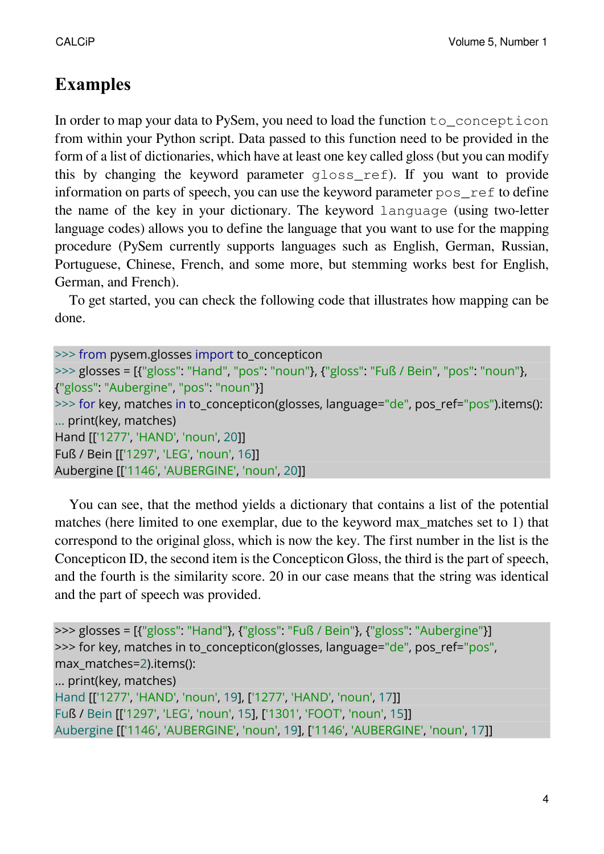# **Examples**

In order to map your data to PySem, you need to load the function to concepticon from within your Python script. Data passed to this function need to be provided in the form of a list of dictionaries, which have at least one key called gloss (but you can modify this by changing the keyword parameter gloss\_ref). If you want to provide information on parts of speech, you can use the keyword parameter pos\_ref to define the name of the key in your dictionary. The keyword language (using two-letter language codes) allows you to define the language that you want to use for the mapping procedure (PySem currently supports languages such as English, German, Russian, Portuguese, Chinese, French, and some more, but stemming works best for English, German, and French).

To get started, you can check the following code that illustrates how mapping can be done.

| >>> from pysem.glosses import to concepticon                                             |
|------------------------------------------------------------------------------------------|
| >>> glosses = [{"gloss": "Hand", "pos": "noun"}, {"gloss": "Fuß / Bein", "pos": "noun"}, |
| {"gloss": "Aubergine", "pos": "noun"}]                                                   |
| >>> for key, matches in to_concepticon(glosses, language="de", pos_ref="pos").items():   |
| print(key, matches)                                                                      |
| Hand [['1277', 'HAND', 'noun', 20]]                                                      |
| Fuß / Bein [['1297', 'LEG', 'noun', 16]]                                                 |
| Aubergine [['1146', 'AUBERGINE', 'noun', 20]]                                            |

You can see, that the method yields a dictionary that contains a list of the potential matches (here limited to one exemplar, due to the keyword max\_matches set to 1) that correspond to the original gloss, which is now the key. The first number in the list is the Concepticon ID, the second item is the Concepticon Gloss, the third is the part of speech, and the fourth is the similarity score. 20 in our case means that the string was identical and the part of speech was provided.

```
>>> glosses = [{"gloss": "Hand"}, {"gloss": "Fuß / Bein"}, {"gloss": "Aubergine"}]
>>> for key, matches in to_concepticon(glosses, language="de", pos_ref="pos",
max_matches=2).items():
... print(key, matches)
Hand [['1277', 'HAND', 'noun', 19], ['1277', 'HAND', 'noun', 17]]
Fuß / Bein [['1297', 'LEG', 'noun', 15], ['1301', 'FOOT', 'noun', 15]]
Aubergine [['1146', 'AUBERGINE', 'noun', 19], ['1146', 'AUBERGINE', 'noun', 17]]
```